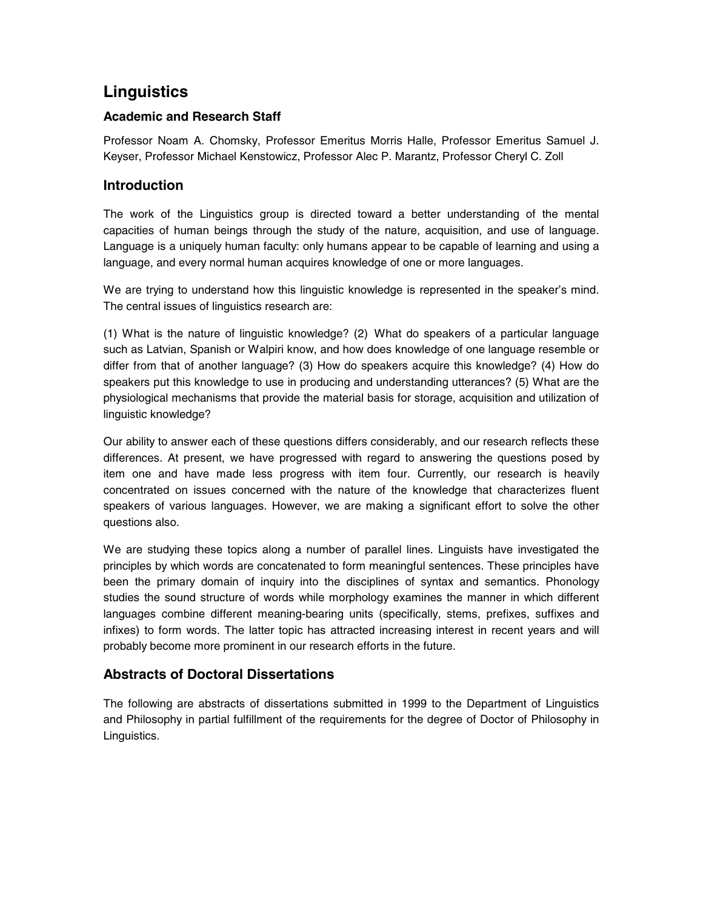# **Linguistics**

## **Academic and Research Staff**

Professor Noam A. Chomsky, Professor Emeritus Morris Halle, Professor Emeritus Samuel J. Keyser, Professor Michael Kenstowicz, Professor Alec P. Marantz, Professor Cheryl C. Zoll

## **Introduction**

The work of the Linguistics group is directed toward a better understanding of the mental capacities of human beings through the study of the nature, acquisition, and use of language. Language is a uniquely human faculty: only humans appear to be capable of learning and using a language, and every normal human acquires knowledge of one or more languages.

We are trying to understand how this linguistic knowledge is represented in the speaker's mind. The central issues of linguistics research are:

(1) What is the nature of linguistic knowledge? (2) What do speakers of a particular language such as Latvian, Spanish or Walpiri know, and how does knowledge of one language resemble or differ from that of another language? (3) How do speakers acquire this knowledge? (4) How do speakers put this knowledge to use in producing and understanding utterances? (5) What are the physiological mechanisms that provide the material basis for storage, acquisition and utilization of linguistic knowledge?

Our ability to answer each of these questions differs considerably, and our research reflects these differences. At present, we have progressed with regard to answering the questions posed by item one and have made less progress with item four. Currently, our research is heavily concentrated on issues concerned with the nature of the knowledge that characterizes fluent speakers of various languages. However, we are making a significant effort to solve the other questions also.

We are studying these topics along a number of parallel lines. Linguists have investigated the principles by which words are concatenated to form meaningful sentences. These principles have been the primary domain of inquiry into the disciplines of syntax and semantics. Phonology studies the sound structure of words while morphology examines the manner in which different languages combine different meaning-bearing units (specifically, stems, prefixes, suffixes and infixes) to form words. The latter topic has attracted increasing interest in recent years and will probably become more prominent in our research efforts in the future.

## **Abstracts of Doctoral Dissertations**

The following are abstracts of dissertations submitted in 1999 to the Department of Linguistics and Philosophy in partial fulfillment of the requirements for the degree of Doctor of Philosophy in Linguistics.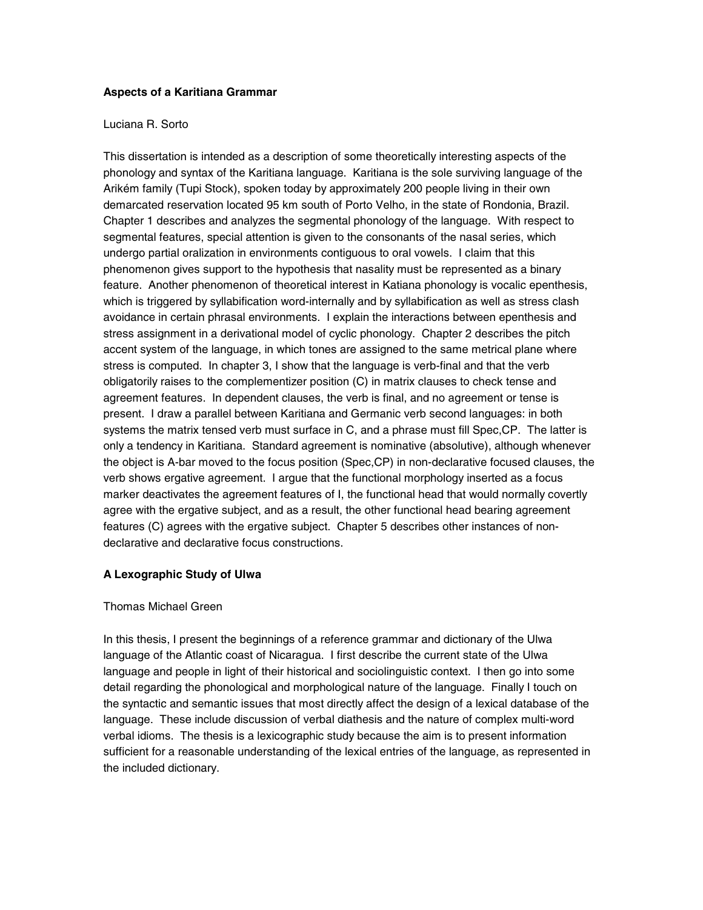### **Aspects of a Karitiana Grammar**

### Luciana R. Sorto

This dissertation is intended as a description of some theoretically interesting aspects of the phonology and syntax of the Karitiana language. Karitiana is the sole surviving language of the Arikém family (Tupi Stock), spoken today by approximately 200 people living in their own demarcated reservation located 95 km south of Porto Velho, in the state of Rondonia, Brazil. Chapter 1 describes and analyzes the segmental phonology of the language. With respect to segmental features, special attention is given to the consonants of the nasal series, which undergo partial oralization in environments contiguous to oral vowels. I claim that this phenomenon gives support to the hypothesis that nasality must be represented as a binary feature. Another phenomenon of theoretical interest in Katiana phonology is vocalic epenthesis, which is triggered by syllabification word-internally and by syllabification as well as stress clash avoidance in certain phrasal environments. I explain the interactions between epenthesis and stress assignment in a derivational model of cyclic phonology. Chapter 2 describes the pitch accent system of the language, in which tones are assigned to the same metrical plane where stress is computed. In chapter 3, I show that the language is verb-final and that the verb obligatorily raises to the complementizer position (C) in matrix clauses to check tense and agreement features. In dependent clauses, the verb is final, and no agreement or tense is present. I draw a parallel between Karitiana and Germanic verb second languages: in both systems the matrix tensed verb must surface in C, and a phrase must fill Spec,CP. The latter is only a tendency in Karitiana. Standard agreement is nominative (absolutive), although whenever the object is A-bar moved to the focus position (Spec,CP) in non-declarative focused clauses, the verb shows ergative agreement. I argue that the functional morphology inserted as a focus marker deactivates the agreement features of I, the functional head that would normally covertly agree with the ergative subject, and as a result, the other functional head bearing agreement features (C) agrees with the ergative subject. Chapter 5 describes other instances of nondeclarative and declarative focus constructions.

## **A Lexographic Study of Ulwa**

## Thomas Michael Green

In this thesis, I present the beginnings of a reference grammar and dictionary of the Ulwa language of the Atlantic coast of Nicaragua. I first describe the current state of the Ulwa language and people in light of their historical and sociolinguistic context. I then go into some detail regarding the phonological and morphological nature of the language. Finally I touch on the syntactic and semantic issues that most directly affect the design of a lexical database of the language. These include discussion of verbal diathesis and the nature of complex multi-word verbal idioms. The thesis is a lexicographic study because the aim is to present information sufficient for a reasonable understanding of the lexical entries of the language, as represented in the included dictionary.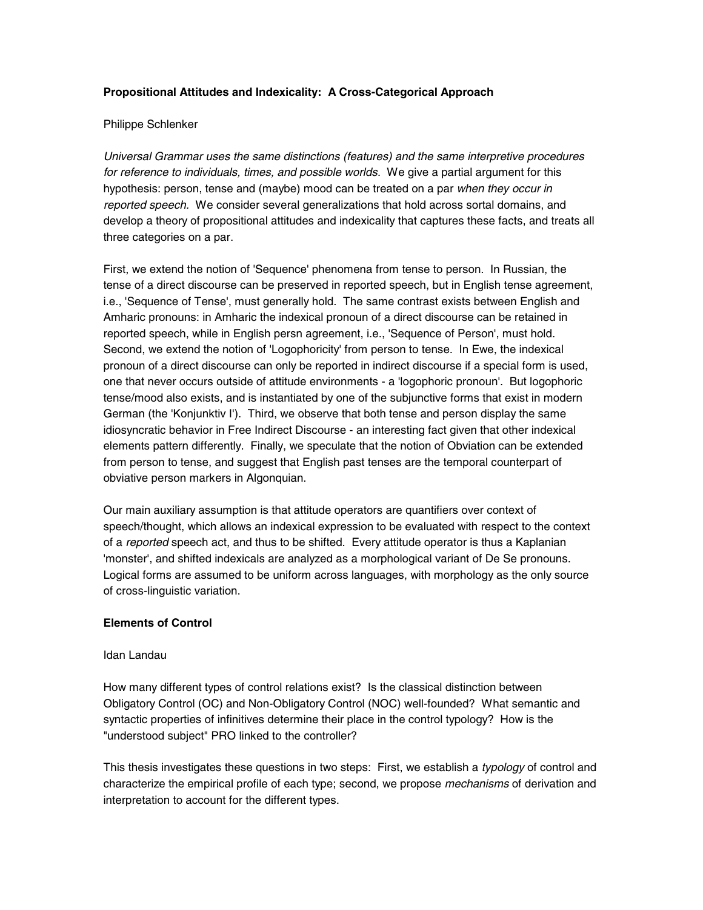## **Propositional Attitudes and Indexicality: A Cross-Categorical Approach**

### Philippe Schlenker

*Universal Grammar uses the same distinctions (features) and the same interpretive procedures for reference to individuals, times, and possible worlds.* We give a partial argument for this hypothesis: person, tense and (maybe) mood can be treated on a par *when they occur in reported speech.* We consider several generalizations that hold across sortal domains, and develop a theory of propositional attitudes and indexicality that captures these facts, and treats all three categories on a par.

First, we extend the notion of 'Sequence' phenomena from tense to person. In Russian, the tense of a direct discourse can be preserved in reported speech, but in English tense agreement, i.e., 'Sequence of Tense', must generally hold. The same contrast exists between English and Amharic pronouns: in Amharic the indexical pronoun of a direct discourse can be retained in reported speech, while in English persn agreement, i.e., 'Sequence of Person', must hold. Second, we extend the notion of 'Logophoricity' from person to tense. In Ewe, the indexical pronoun of a direct discourse can only be reported in indirect discourse if a special form is used, one that never occurs outside of attitude environments - a 'logophoric pronoun'. But logophoric tense/mood also exists, and is instantiated by one of the subjunctive forms that exist in modern German (the 'Konjunktiv I'). Third, we observe that both tense and person display the same idiosyncratic behavior in Free Indirect Discourse - an interesting fact given that other indexical elements pattern differently. Finally, we speculate that the notion of Obviation can be extended from person to tense, and suggest that English past tenses are the temporal counterpart of obviative person markers in Algonquian.

Our main auxiliary assumption is that attitude operators are quantifiers over context of speech/thought, which allows an indexical expression to be evaluated with respect to the context of a *reported* speech act, and thus to be shifted. Every attitude operator is thus a Kaplanian 'monster', and shifted indexicals are analyzed as a morphological variant of De Se pronouns. Logical forms are assumed to be uniform across languages, with morphology as the only source of cross-linguistic variation.

## **Elements of Control**

### Idan Landau

How many different types of control relations exist? Is the classical distinction between Obligatory Control (OC) and Non-Obligatory Control (NOC) well-founded? What semantic and syntactic properties of infinitives determine their place in the control typology? How is the "understood subject" PRO linked to the controller?

This thesis investigates these questions in two steps: First, we establish a *typology* of control and characterize the empirical profile of each type; second, we propose *mechanisms* of derivation and interpretation to account for the different types.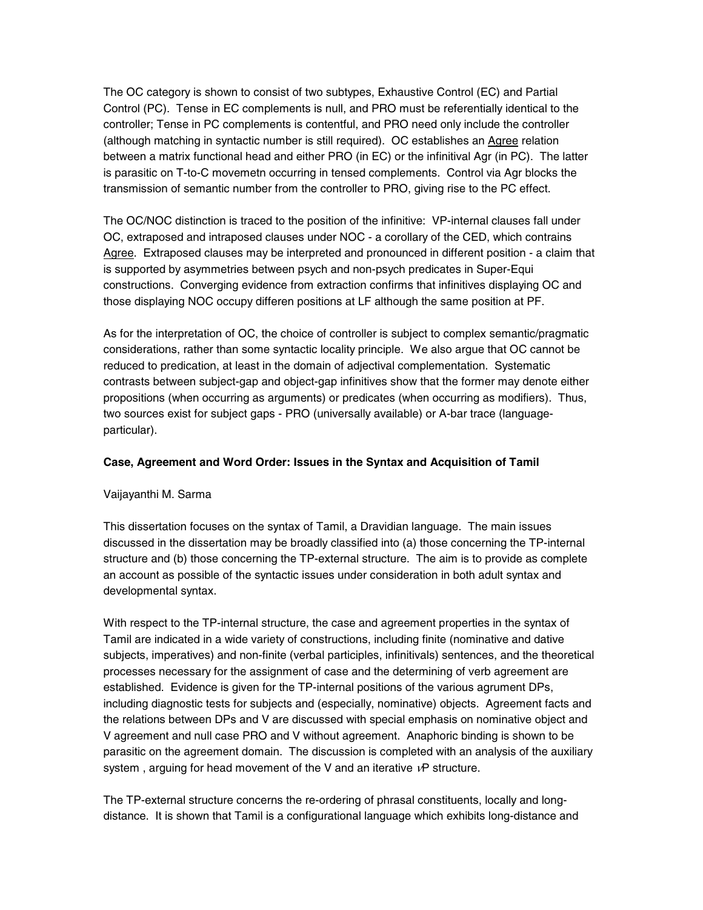The OC category is shown to consist of two subtypes, Exhaustive Control (EC) and Partial Control (PC). Tense in EC complements is null, and PRO must be referentially identical to the controller; Tense in PC complements is contentful, and PRO need only include the controller (although matching in syntactic number is still required). OC establishes an Agree relation between a matrix functional head and either PRO (in EC) or the infinitival Agr (in PC). The latter is parasitic on T-to-C movemetn occurring in tensed complements. Control via Agr blocks the transmission of semantic number from the controller to PRO, giving rise to the PC effect.

The OC/NOC distinction is traced to the position of the infinitive: VP-internal clauses fall under OC, extraposed and intraposed clauses under NOC - a corollary of the CED, which contrains Agree. Extraposed clauses may be interpreted and pronounced in different position - a claim that is supported by asymmetries between psych and non-psych predicates in Super-Equi constructions. Converging evidence from extraction confirms that infinitives displaying OC and those displaying NOC occupy differen positions at LF although the same position at PF.

As for the interpretation of OC, the choice of controller is subject to complex semantic/pragmatic considerations, rather than some syntactic locality principle. We also argue that OC cannot be reduced to predication, at least in the domain of adjectival complementation. Systematic contrasts between subject-gap and object-gap infinitives show that the former may denote either propositions (when occurring as arguments) or predicates (when occurring as modifiers). Thus, two sources exist for subject gaps - PRO (universally available) or A-bar trace (languageparticular).

### **Case, Agreement and Word Order: Issues in the Syntax and Acquisition of Tamil**

### Vaijayanthi M. Sarma

This dissertation focuses on the syntax of Tamil, a Dravidian language. The main issues discussed in the dissertation may be broadly classified into (a) those concerning the TP-internal structure and (b) those concerning the TP-external structure. The aim is to provide as complete an account as possible of the syntactic issues under consideration in both adult syntax and developmental syntax.

With respect to the TP-internal structure, the case and agreement properties in the syntax of Tamil are indicated in a wide variety of constructions, including finite (nominative and dative subjects, imperatives) and non-finite (verbal participles, infinitivals) sentences, and the theoretical processes necessary for the assignment of case and the determining of verb agreement are established. Evidence is given for the TP-internal positions of the various agrument DPs, including diagnostic tests for subjects and (especially, nominative) objects. Agreement facts and the relations between DPs and V are discussed with special emphasis on nominative object and V agreement and null case PRO and V without agreement. Anaphoric binding is shown to be parasitic on the agreement domain. The discussion is completed with an analysis of the auxiliary system, arguing for head movement of the V and an iterative  $vP$  structure.

The TP-external structure concerns the re-ordering of phrasal constituents, locally and longdistance. It is shown that Tamil is a configurational language which exhibits long-distance and